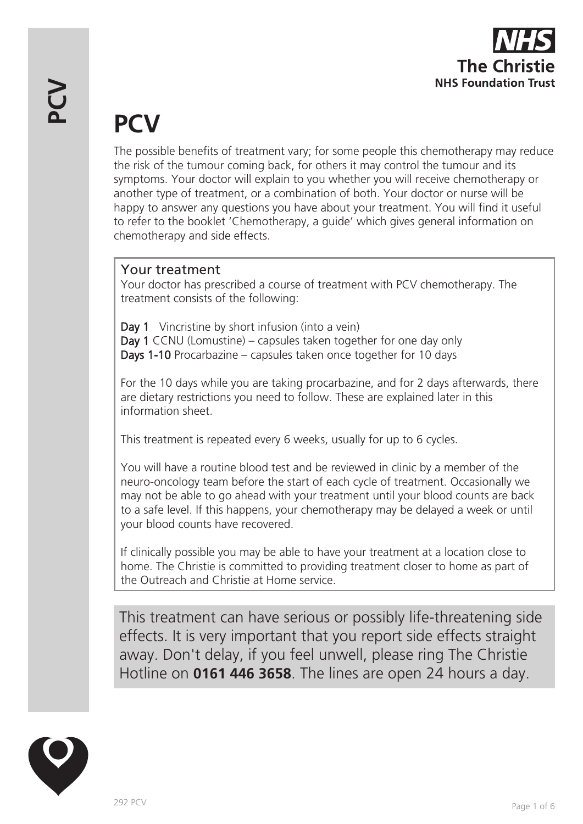

# **PCV**

The possible benefits of treatment vary; for some people this chemotherapy may reduce the risk of the tumour coming back, for others it may control the tumour and its symptoms. Your doctor will explain to you whether you will receive chemotherapy or another type of treatment, or a combination of both. Your doctor or nurse will be happy to answer any questions you have about your treatment. You will find it useful to refer to the booklet 'Chemotherapy, a guide' which gives general information on chemotherapy and side effects.

## Your treatment

Your doctor has prescribed a course of treatment with PCV chemotherapy. The treatment consists of the following:

Day 1 Vincristine by short infusion (into a vein) Day 1 CCNU (Lomustine) – capsules taken together for one day only Days 1-10 Procarbazine – capsules taken once together for 10 days

For the 10 days while you are taking procarbazine, and for 2 days afterwards, there are dietary restrictions you need to follow. These are explained later in this information sheet.

This treatment is repeated every 6 weeks, usually for up to 6 cycles.

You will have a routine blood test and be reviewed in clinic by a member of the neuro-oncology team before the start of each cycle of treatment. Occasionally we may not be able to go ahead with your treatment until your blood counts are back to a safe level. If this happens, your chemotherapy may be delayed a week or until your blood counts have recovered.

If clinically possible you may be able to have your treatment at a location close to home. The Christie is committed to providing treatment closer to home as part of the Outreach and Christie at Home service.

This treatment can have serious or possibly life-threatening side effects. It is very important that you report side effects straight away. Don't delay, if you feel unwell, please ring The Christie Hotline on **0161 446 3658**. The lines are open 24 hours a day.

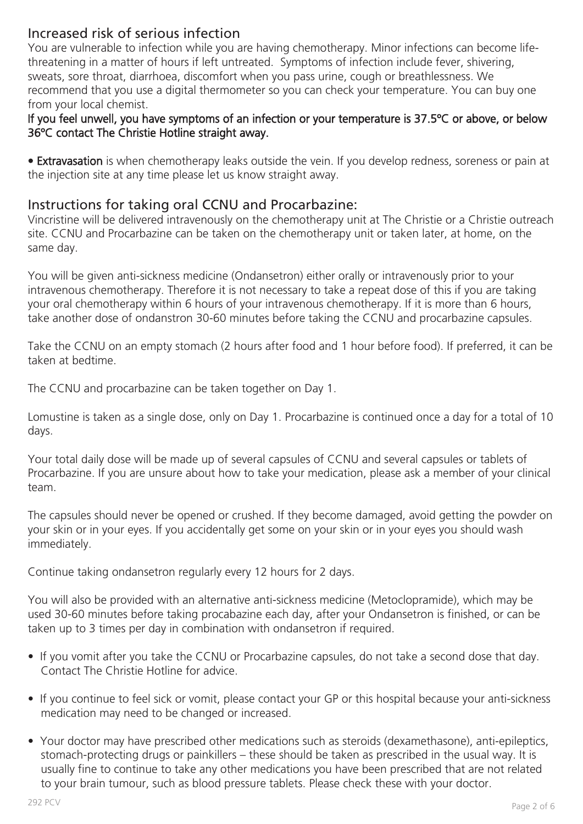## Increased risk of serious infection

You are vulnerable to infection while you are having chemotherapy. Minor infections can become lifethreatening in a matter of hours if left untreated. Symptoms of infection include fever, shivering, sweats, sore throat, diarrhoea, discomfort when you pass urine, cough or breathlessness. We recommend that you use a digital thermometer so you can check your temperature. You can buy one from your local chemist.

#### If you feel unwell, you have symptoms of an infection or your temperature is 37.5ºC or above, or below 36ºC contact The Christie Hotline straight away.

• Extravasation is when chemotherapy leaks outside the vein. If you develop redness, soreness or pain at the injection site at any time please let us know straight away.

### Instructions for taking oral CCNU and Procarbazine:

Vincristine will be delivered intravenously on the chemotherapy unit at The Christie or a Christie outreach site. CCNU and Procarbazine can be taken on the chemotherapy unit or taken later, at home, on the same day.

You will be given anti-sickness medicine (Ondansetron) either orally or intravenously prior to your intravenous chemotherapy. Therefore it is not necessary to take a repeat dose of this if you are taking your oral chemotherapy within 6 hours of your intravenous chemotherapy. If it is more than 6 hours, take another dose of ondanstron 30-60 minutes before taking the CCNU and procarbazine capsules.

Take the CCNU on an empty stomach (2 hours after food and 1 hour before food). If preferred, it can be taken at bedtime.

The CCNU and procarbazine can be taken together on Day 1.

Lomustine is taken as a single dose, only on Day 1. Procarbazine is continued once a day for a total of 10 days.

Your total daily dose will be made up of several capsules of CCNU and several capsules or tablets of Procarbazine. If you are unsure about how to take your medication, please ask a member of your clinical team.

The capsules should never be opened or crushed. If they become damaged, avoid getting the powder on your skin or in your eyes. If you accidentally get some on your skin or in your eyes you should wash immediately.

Continue taking ondansetron regularly every 12 hours for 2 days.

You will also be provided with an alternative anti-sickness medicine (Metoclopramide), which may be used 30-60 minutes before taking procabazine each day, after your Ondansetron is finished, or can be taken up to 3 times per day in combination with ondansetron if required.

- If you vomit after you take the CCNU or Procarbazine capsules, do not take a second dose that day. Contact The Christie Hotline for advice.
- If you continue to feel sick or vomit, please contact your GP or this hospital because your anti-sickness medication may need to be changed or increased.
- Your doctor may have prescribed other medications such as steroids (dexamethasone), anti-epileptics, stomach-protecting drugs or painkillers – these should be taken as prescribed in the usual way. It is usually fine to continue to take any other medications you have been prescribed that are not related to your brain tumour, such as blood pressure tablets. Please check these with your doctor.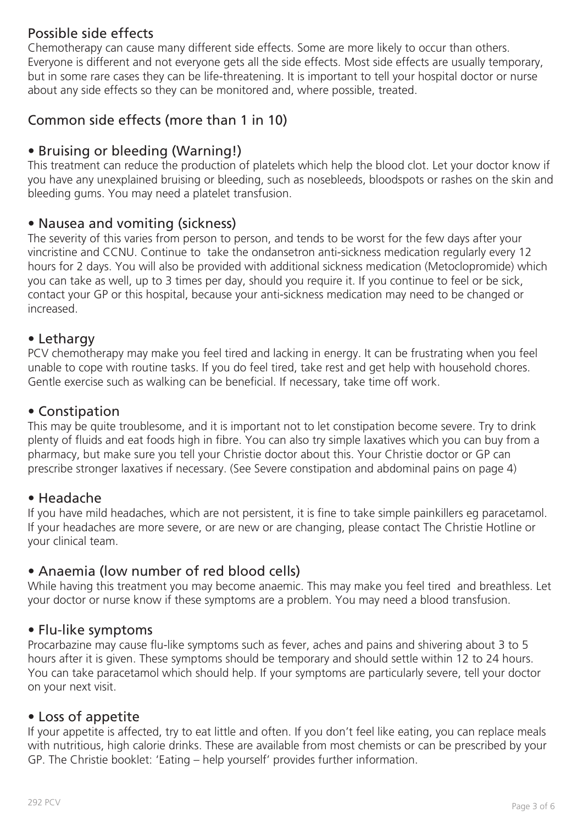## Possible side effects

Chemotherapy can cause many different side effects. Some are more likely to occur than others. Everyone is different and not everyone gets all the side effects. Most side effects are usually temporary, but in some rare cases they can be life-threatening. It is important to tell your hospital doctor or nurse about any side effects so they can be monitored and, where possible, treated.

## Common side effects (more than 1 in 10)

## • Bruising or bleeding (Warning!)

This treatment can reduce the production of platelets which help the blood clot. Let your doctor know if you have any unexplained bruising or bleeding, such as nosebleeds, bloodspots or rashes on the skin and bleeding gums. You may need a platelet transfusion.

### • Nausea and vomiting (sickness)

The severity of this varies from person to person, and tends to be worst for the few days after your vincristine and CCNU. Continue to take the ondansetron anti-sickness medication regularly every 12 hours for 2 days. You will also be provided with additional sickness medication (Metoclopromide) which you can take as well, up to 3 times per day, should you require it. If you continue to feel or be sick, contact your GP or this hospital, because your anti-sickness medication may need to be changed or increased.

#### • Lethargy

PCV chemotherapy may make you feel tired and lacking in energy. It can be frustrating when you feel unable to cope with routine tasks. If you do feel tired, take rest and get help with household chores. Gentle exercise such as walking can be beneficial. If necessary, take time off work.

#### • Constipation

This may be quite troublesome, and it is important not to let constipation become severe. Try to drink plenty of fluids and eat foods high in fibre. You can also try simple laxatives which you can buy from a pharmacy, but make sure you tell your Christie doctor about this. Your Christie doctor or GP can prescribe stronger laxatives if necessary. (See Severe constipation and abdominal pains on page 4)

#### • Headache

If you have mild headaches, which are not persistent, it is fine to take simple painkillers eg paracetamol. If your headaches are more severe, or are new or are changing, please contact The Christie Hotline or your clinical team.

#### • Anaemia (low number of red blood cells)

While having this treatment you may become anaemic. This may make you feel tired and breathless. Let your doctor or nurse know if these symptoms are a problem. You may need a blood transfusion.

#### • Flu-like symptoms

Procarbazine may cause flu-like symptoms such as fever, aches and pains and shivering about 3 to 5 hours after it is given. These symptoms should be temporary and should settle within 12 to 24 hours. You can take paracetamol which should help. If your symptoms are particularly severe, tell your doctor on your next visit.

#### • Loss of appetite

If your appetite is affected, try to eat little and often. If you don't feel like eating, you can replace meals with nutritious, high calorie drinks. These are available from most chemists or can be prescribed by your GP. The Christie booklet: 'Eating – help yourself' provides further information.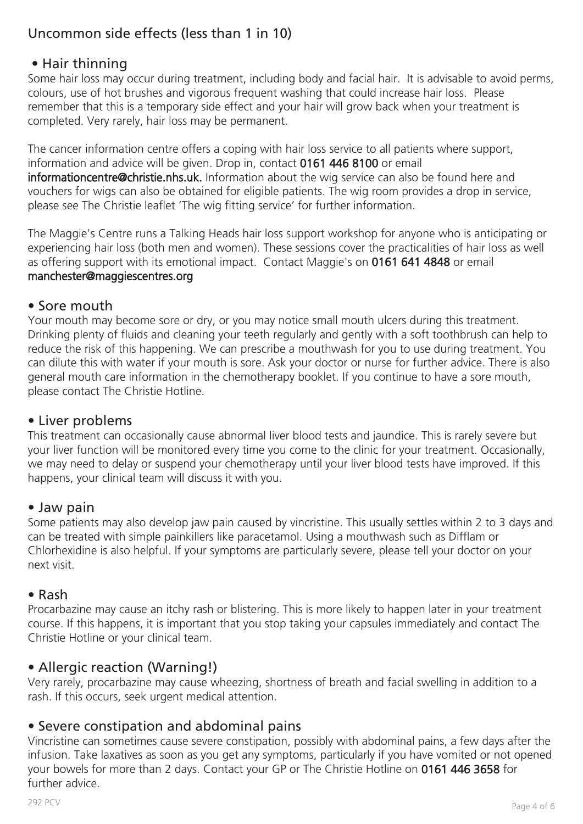# Uncommon side effects (less than 1 in 10)

## • Hair thinning

Some hair loss may occur during treatment, including body and facial hair. It is advisable to avoid perms, colours, use of hot brushes and vigorous frequent washing that could increase hair loss. Please remember that this is a temporary side effect and your hair will grow back when your treatment is completed. Very rarely, hair loss may be permanent.

The cancer information centre offers a coping with hair loss service to all patients where support, information and advice will be given. Drop in, contact 0161 446 8100 or email informationcentre@christie.nhs.uk. Information about the wig service can also be found here and vouchers for wigs can also be obtained for eligible patients. The wig room provides a drop in service, please see The Christie leaflet 'The wig fitting service' for further information.

The Maggie's Centre runs a Talking Heads hair loss support workshop for anyone who is anticipating or experiencing hair loss (both men and women). These sessions cover the practicalities of hair loss as well as offering support with its emotional impact. Contact Maggie's on 0161 641 4848 or email manchester@maggiescentres.org

#### • Sore mouth

Your mouth may become sore or dry, or you may notice small mouth ulcers during this treatment. Drinking plenty of fluids and cleaning your teeth regularly and gently with a soft toothbrush can help to reduce the risk of this happening. We can prescribe a mouthwash for you to use during treatment. You can dilute this with water if your mouth is sore. Ask your doctor or nurse for further advice. There is also general mouth care information in the chemotherapy booklet. If you continue to have a sore mouth, please contact The Christie Hotline.

#### • Liver problems

This treatment can occasionally cause abnormal liver blood tests and jaundice. This is rarely severe but your liver function will be monitored every time you come to the clinic for your treatment. Occasionally, we may need to delay or suspend your chemotherapy until your liver blood tests have improved. If this happens, your clinical team will discuss it with you.

#### • Jaw pain

Some patients may also develop jaw pain caused by vincristine. This usually settles within 2 to 3 days and can be treated with simple painkillers like paracetamol. Using a mouthwash such as Difflam or Chlorhexidine is also helpful. If your symptoms are particularly severe, please tell your doctor on your next visit.

#### • Rash

Procarbazine may cause an itchy rash or blistering. This is more likely to happen later in your treatment course. If this happens, it is important that you stop taking your capsules immediately and contact The Christie Hotline or your clinical team.

#### • Allergic reaction (Warning!)

Very rarely, procarbazine may cause wheezing, shortness of breath and facial swelling in addition to a rash. If this occurs, seek urgent medical attention.

#### • Severe constipation and abdominal pains

Vincristine can sometimes cause severe constipation, possibly with abdominal pains, a few days after the infusion. Take laxatives as soon as you get any symptoms, particularly if you have vomited or not opened your bowels for more than 2 days. Contact your GP or The Christie Hotline on 0161 446 3658 for further advice.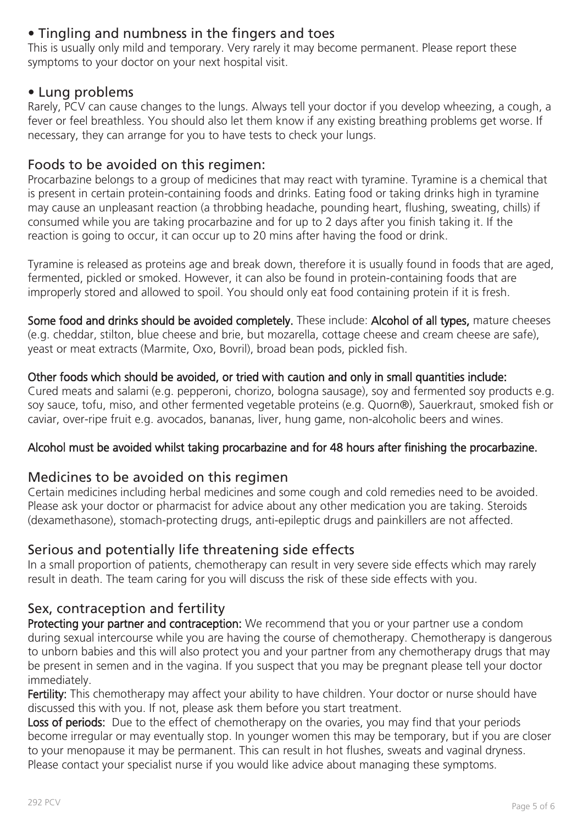## • Tingling and numbness in the fingers and toes

This is usually only mild and temporary. Very rarely it may become permanent. Please report these symptoms to your doctor on your next hospital visit.

#### • Lung problems

Rarely, PCV can cause changes to the lungs. Always tell your doctor if you develop wheezing, a cough, a fever or feel breathless. You should also let them know if any existing breathing problems get worse. If necessary, they can arrange for you to have tests to check your lungs.

## Foods to be avoided on this regimen:

Procarbazine belongs to a group of medicines that may react with tyramine. Tyramine is a chemical that is present in certain protein-containing foods and drinks. Eating food or taking drinks high in tyramine may cause an unpleasant reaction (a throbbing headache, pounding heart, flushing, sweating, chills) if consumed while you are taking procarbazine and for up to 2 days after you finish taking it. If the reaction is going to occur, it can occur up to 20 mins after having the food or drink.

Tyramine is released as proteins age and break down, therefore it is usually found in foods that are aged, fermented, pickled or smoked. However, it can also be found in protein-containing foods that are improperly stored and allowed to spoil. You should only eat food containing protein if it is fresh.

Some food and drinks should be avoided completely. These include: Alcohol of all types, mature cheeses (e.g. cheddar, stilton, blue cheese and brie, but mozarella, cottage cheese and cream cheese are safe), yeast or meat extracts (Marmite, Oxo, Bovril), broad bean pods, pickled fish.

#### Other foods which should be avoided, or tried with caution and only in small quantities include:

Cured meats and salami (e.g. pepperoni, chorizo, bologna sausage), soy and fermented soy products e.g. soy sauce, tofu, miso, and other fermented vegetable proteins (e.g. Quorn®), Sauerkraut, smoked fish or caviar, over-ripe fruit e.g. avocados, bananas, liver, hung game, non-alcoholic beers and wines.

#### Alcohol must be avoided whilst taking procarbazine and for 48 hours after finishing the procarbazine.

#### Medicines to be avoided on this regimen

Certain medicines including herbal medicines and some cough and cold remedies need to be avoided. Please ask your doctor or pharmacist for advice about any other medication you are taking. Steroids (dexamethasone), stomach-protecting drugs, anti-epileptic drugs and painkillers are not affected.

#### Serious and potentially life threatening side effects

In a small proportion of patients, chemotherapy can result in very severe side effects which may rarely result in death. The team caring for you will discuss the risk of these side effects with you.

## Sex, contraception and fertility

Protecting your partner and contraception: We recommend that you or your partner use a condom during sexual intercourse while you are having the course of chemotherapy. Chemotherapy is dangerous to unborn babies and this will also protect you and your partner from any chemotherapy drugs that may be present in semen and in the vagina. If you suspect that you may be pregnant please tell your doctor immediately.

Fertility: This chemotherapy may affect your ability to have children. Your doctor or nurse should have discussed this with you. If not, please ask them before you start treatment.

Loss of periods: Due to the effect of chemotherapy on the ovaries, you may find that your periods become irregular or may eventually stop. In younger women this may be temporary, but if you are closer to your menopause it may be permanent. This can result in hot flushes, sweats and vaginal dryness. Please contact your specialist nurse if you would like advice about managing these symptoms.